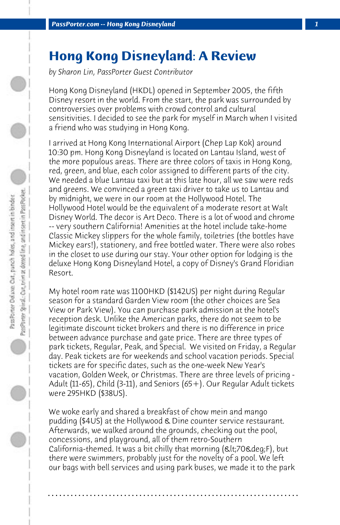## **Hong Kong Disneyland: A Review**

*by Sharon Lin, PassPorter Guest Contributor*

Hong Kong Disneyland (HKDL) opened in September 2005, the fifth Disney resort in the world. From the start, the park was surrounded by controversies over problems with crowd control and cultural sensitivities. I decided to see the park for myself in March when I visited a friend who was studying in Hong Kong.

I arrived at Hong Kong International Airport (Chep Lap Kok) around 10:30 pm. Hong Kong Disneyland is located on Lantau Island, west of the more populous areas. There are three colors of taxis in Hong Kong, red, green, and blue, each color assigned to different parts of the city. We needed a blue Lantau taxi but at this late hour, all we saw were reds and greens. We convinced a green taxi driver to take us to Lantau and by midnight, we were in our room at the Hollywood Hotel. The Hollywood Hotel would be the equivalent of a moderate resort at Walt Disney World. The decor is Art Deco. There is a lot of wood and chrome -- very southern California! Amenities at the hotel include take-home Classic Mickey slippers for the whole family, toiletries (the bottles have Mickey ears!), stationery, and free bottled water. There were also robes in the closet to use during our stay. Your other option for lodging is the deluxe Hong Kong Disneyland Hotel, a copy of Disney's Grand Floridian Resort.

My hotel room rate was 1100HKD (\$142US) per night during Regular season for a standard Garden View room (the other choices are Sea View or Park View). You can purchase park admission at the hotel's reception desk. Unlike the American parks, there do not seem to be legitimate discount ticket brokers and there is no difference in price between advance purchase and gate price. There are three types of park tickets, Regular, Peak, and Special. We visited on Friday, a Regular day. Peak tickets are for weekends and school vacation periods. Special tickets are for specific dates, such as the one-week New Year's vacation, Golden Week, or Christmas. There are three levels of pricing - Adult (11-65), Child (3-11), and Seniors (65+). Our Regular Adult tickets were 295HKD (\$38US).

We woke early and shared a breakfast of chow mein and mango pudding (\$4US) at the Hollywood & Dine counter service restaurant. Afterwards, we walked around the grounds, checking out the pool, concessions, and playground, all of them retro-Southern California-themed. It was a bit chilly that morning  $(8l<sub>t</sub>;708deg;F)$ , but there were swimmers, probably just for the novelty of a pool. We left our bags with bell services and using park buses, we made it to the park

**. . . . . . . . . . . . . . . . . . . . . . . . . . . . . . . . . . . . . . . . . . . . . . . . . . . . . . . . . . . . . . . . . .**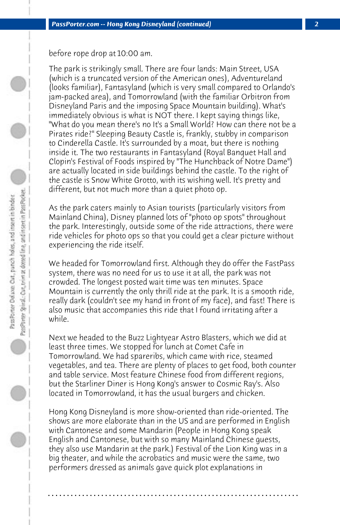before rope drop at 10:00 am.

The park is strikingly small. There are four lands: Main Street, USA (which is a truncated version of the American ones), Adventureland (looks familiar), Fantasyland (which is very small compared to Orlando's jam-packed area), and Tomorrowland (with the familiar Orbitron from Disneyland Paris and the imposing Space Mountain building). What's immediately obvious is what is NOT there. I kept saying things like, "What do you mean there's no It's a Small World? How can there not be a Pirates ride?" Sleeping Beauty Castle is, frankly, stubby in comparison to Cinderella Castle. It's surrounded by a moat, but there is nothing inside it. The two restaurants in Fantasyland (Royal Banquet Hall and Clopin's Festival of Foods inspired by "The Hunchback of Notre Dame") are actually located in side buildings behind the castle. To the right of the castle is Snow White Grotto, with its wishing well. It's pretty and different, but not much more than a quiet photo op.

As the park caters mainly to Asian tourists (particularly visitors from Mainland China), Disney planned lots of "photo op spots" throughout the park. Interestingly, outside some of the ride attractions, there were ride vehicles for photo ops so that you could get a clear picture without experiencing the ride itself.

We headed for Tomorrowland first. Although they do offer the FastPass system, there was no need for us to use it at all, the park was not crowded. The longest posted wait time was ten minutes. Space Mountain is currently the only thrill ride at the park. It is a smooth ride, really dark (couldn't see my hand in front of my face), and fast! There is also music that accompanies this ride that I found irritating after a while.

Next we headed to the Buzz Lightyear Astro Blasters, which we did at least three times. We stopped for lunch at Comet Cafe in Tomorrowland. We had spareribs, which came with rice, steamed vegetables, and tea. There are plenty of places to get food, both counter and table service. Most feature Chinese food from different regions, but the Starliner Diner is Hong Kong's answer to Cosmic Ray's. Also located in Tomorrowland, it has the usual burgers and chicken.

Hong Kong Disneyland is more show-oriented than ride-oriented. The shows are more elaborate than in the US and are performed in English with Cantonese and some Mandarin (People in Hong Kong speak English and Cantonese, but with so many Mainland Chinese guests, they also use Mandarin at the park.) Festival of the Lion King was in a big theater, and while the acrobatics and music were the same, two performers dressed as animals gave quick plot explanations in

**. . . . . . . . . . . . . . . . . . . . . . . . . . . . . . . . . . . . . . . . . . . . . . . . . . . . . . . . . . . . . . . . . .**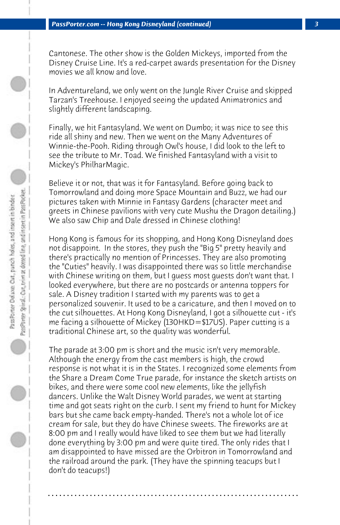Cantonese. The other show is the Golden Mickeys, imported from the Disney Cruise Line. It's a red-carpet awards presentation for the Disney movies we all know and love.

In Adventureland, we only went on the Jungle River Cruise and skipped Tarzan's Treehouse. I enjoyed seeing the updated Animatronics and slightly different landscaping.

Finally, we hit Fantasyland. We went on Dumbo; it was nice to see this ride all shiny and new. Then we went on the Many Adventures of Winnie-the-Pooh. Riding through Owl's house, I did look to the left to see the tribute to Mr. Toad. We finished Fantasyland with a visit to Mickey's PhilharMagic.

Believe it or not, that was it for Fantasyland. Before going back to Tomorrowland and doing more Space Mountain and Buzz, we had our pictures taken with Minnie in Fantasy Gardens (character meet and greets in Chinese pavilions with very cute Mushu the Dragon detailing.) We also saw Chip and Dale dressed in Chinese clothing!

Hong Kong is famous for its shopping, and Hong Kong Disneyland does not disappoint. In the stores, they push the "Big 5" pretty heavily and there's practically no mention of Princesses. They are also promoting the "Cuties" heavily. I was disappointed there was so little merchandise with Chinese writing on them, but I guess most guests don't want that. I looked everywhere, but there are no postcards or antenna toppers for sale. A Disney tradition I started with my parents was to get a personalized souvenir. It used to be a caricature, and then I moved on to the cut silhouettes. At Hong Kong Disneyland, I got a silhouette cut - it's me facing a silhouette of Mickey (130HKD=\$17US). Paper cutting is a traditional Chinese art, so the quality was wonderful.

The parade at 3:00 pm is short and the music isn't very memorable. Although the energy from the cast members is high, the crowd response is not what it is in the States. I recognized some elements from the Share a Dream Come True parade, for instance the sketch artists on bikes, and there were some cool new elements, like the jellyfish dancers. Unlike the Walt Disney World parades, we went at starting time and got seats right on the curb. I sent my friend to hunt for Mickey bars but she came back empty-handed. There's not a whole lot of ice cream for sale, but they do have Chinese sweets. The fireworks are at 8:00 pm and I really would have liked to see them but we had literally done everything by 3:00 pm and were quite tired. The only rides that I am disappointed to have missed are the Orbitron in Tomorrowland and the railroad around the park. (They have the spinning teacups but I don't do teacups!)

**. . . . . . . . . . . . . . . . . . . . . . . . . . . . . . . . . . . . . . . . . . . . . . . . . . . . . . . . . . . . . . . . . .**